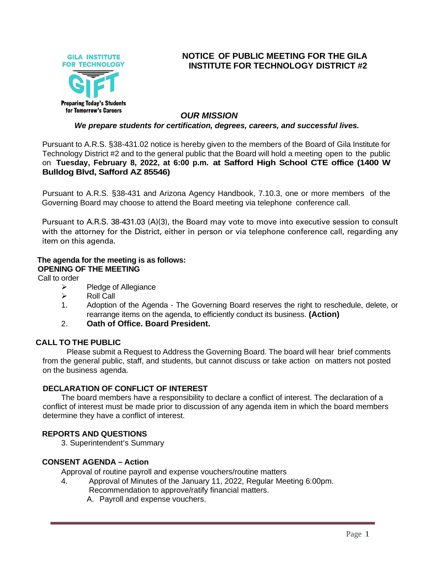

# **NOTICE OF PUBLIC MEETING FOR THE GILA INSTITUTE FOR TECHNOLOGY DISTRICT #2**

## *OUR MISSION*

#### *We prepare students for certification, degrees, careers, and successful lives.*

Pursuant to A.R.S. §38-431.02 notice is hereby given to the members of the Board of Gila Institute for Technology District #2 and to the general public that the Board will hold a meeting open to the public on **Tuesday, February 8, 2022, at 6:00 p.m. at Safford High School CTE office (1400 W Bulldog Blvd, Safford AZ 85546)**

Pursuant to A.R.S. §38-431 and Arizona Agency Handbook, 7.10.3, one or more members of the Governing Board may choose to attend the Board meeting via telephone conference call.

Pursuant to A.R.S. 38-431.03 (A)(3), the Board may vote to move into executive session to consult with the attorney for the District, either in person or via telephone conference call, regarding any item on this agenda.

# **The agenda for the meeting is as follows:**

## **OPENING OF THE MEETING**

Call to order

- ➢ Pledge of Allegiance
- ➢ Roll Call
- 1. Adoption of the Agenda The Governing Board reserves the right to reschedule, delete, or rearrange items on the agenda, to efficiently conduct its business. **(Action)**
- 2. **Oath of Office. Board President.**

#### **CALL TO THE PUBLIC**

Please submit a Request to Address the Governing Board. The board will hear brief comments from the general public, staff, and students, but cannot discuss or take action on matters not posted on the business agenda.

#### **DECLARATION OF CONFLICT OF INTEREST**

The board members have a responsibility to declare a conflict of interest. The declaration of a conflict of interest must be made prior to discussion of any agenda item in which the board members determine they have a conflict of interest.

#### **REPORTS AND QUESTIONS**

3. Superintendent's Summary

#### **CONSENT AGENDA – Action**

Approval of routine payroll and expense vouchers/routine matters

- 4. Approval of Minutes of the January 11, 2022, Regular Meeting 6:00pm. Recommendation to approve/ratify financial matters.
	- A. Payroll and expense vouchers.